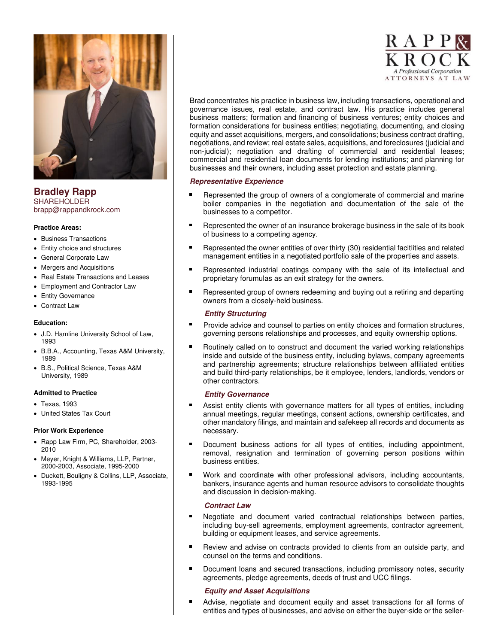

**Bradley Rapp**  SHAREHOLDER brapp@rappandkrock.com

### **Practice Areas:**

- Business Transactions
- Entity choice and structures
- General Corporate Law
- Mergers and Acquisitions
- Real Estate Transactions and Leases
- Employment and Contractor Law
- Entity Governance
- Contract Law

## **Education:**

- J.D. Hamline University School of Law, 1993
- B.B.A., Accounting, Texas A&M University, 1989
- B.S., Political Science, Texas A&M University, 1989

### **Admitted to Practice**

- Texas, 1993
- United States Tax Court

#### **Prior Work Experience**

- Rapp Law Firm, PC, Shareholder, 2003- 2010
- Meyer, Knight & Williams, LLP, Partner, 2000-2003, Associate, 1995-2000
- Duckett, Bouligny & Collins, LLP, Associate, 1993-1995



Brad concentrates his practice in business law, including transactions, operational and governance issues, real estate, and contract law. His practice includes general business matters; formation and financing of business ventures; entity choices and formation considerations for business entities; negotiating, documenting, and closing equity and asset acquisitions, mergers, and consolidations; business contract drafting, negotiations, and review; real estate sales, acquisitions, and foreclosures (judicial and non-judicial); negotiation and drafting of commercial and residential leases; commercial and residential loan documents for lending institutions; and planning for businesses and their owners, including asset protection and estate planning.

# **Representative Experience**

- ٠ Represented the group of owners of a conglomerate of commercial and marine boiler companies in the negotiation and documentation of the sale of the businesses to a competitor.
- $\blacksquare$ Represented the owner of an insurance brokerage business in the sale of its book of business to a competing agency.
- Represented the owner entities of over thirty (30) residential facitlities and related management entities in a negotiated portfolio sale of the properties and assets.
- Represented industrial coatings company with the sale of its intellectual and proprietary forumulas as an exit strategy for the owners.
- Represented group of owners redeeming and buying out a retiring and departing  $\blacksquare$ owners from a closely-held business.

# **Entity Structuring**

- Provide advice and counsel to parties on entity choices and formation structures, governing persons relationships and processes, and equity ownership options.
- Routinely called on to construct and document the varied working relationships inside and outside of the business entity, including bylaws, company agreements and partnership agreements; structure relationships between affiliated entities and build third-party relationships, be it employee, lenders, landlords, vendors or other contractors.

### **Entity Governance**

- $\blacksquare$ Assist entity clients with governance matters for all types of entities, including annual meetings, regular meetings, consent actions, ownership certificates, and other mandatory filings, and maintain and safekeep all records and documents as necessary.
- Document business actions for all types of entities, including appointment, removal, resignation and termination of governing person positions within business entities.
- Work and coordinate with other professional advisors, including accountants, bankers, insurance agents and human resource advisors to consolidate thoughts and discussion in decision-making.

# **Contract Law**

- $\blacksquare$ Negotiate and document varied contractual relationships between parties, including buy-sell agreements, employment agreements, contractor agreement, building or equipment leases, and service agreements.
- Review and advise on contracts provided to clients from an outside party, and counsel on the terms and conditions.
- Document loans and secured transactions, including promissory notes, security agreements, pledge agreements, deeds of trust and UCC filings.

### **Equity and Asset Acquisitions**

Advise, negotiate and document equity and asset transactions for all forms of entities and types of businesses, and advise on either the buyer-side or the seller-